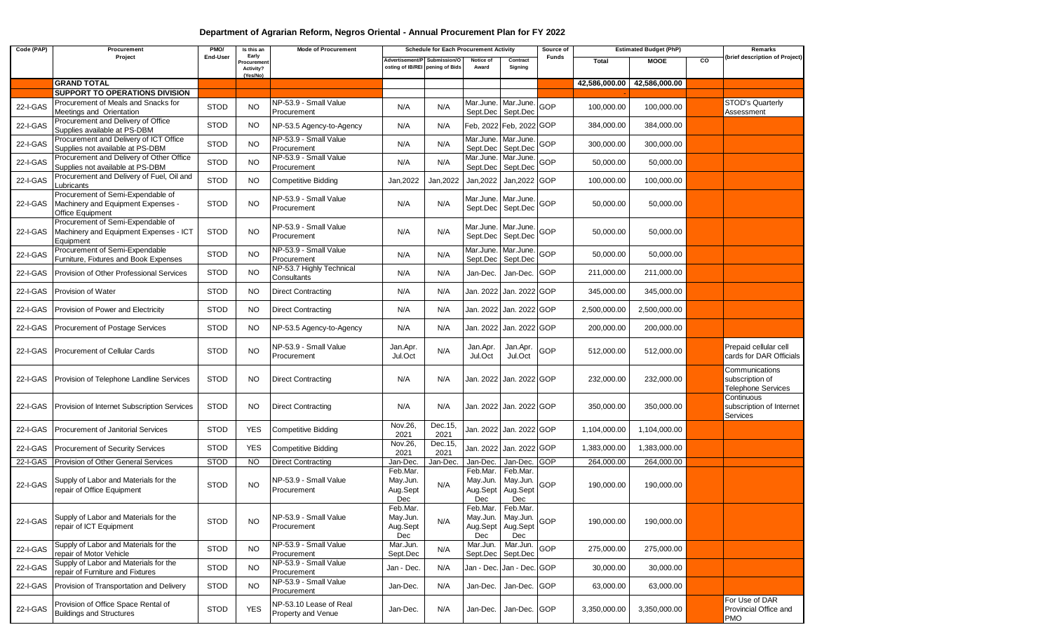## **Department of Agrarian Reform, Negros Oriental - Annual Procurement Plan for FY 2022**

| Code (PAP) | Procurement                                                                                 | PMO/        | Is this an                                    | <b>Mode of Procurement</b>                   |                                         | <b>Schedule for Each Procurement Activity</b>                   |                                         |                                                           | Source of    | <b>Estimated Budget (PhP)</b> |                             |    | Remarks                                                        |
|------------|---------------------------------------------------------------------------------------------|-------------|-----------------------------------------------|----------------------------------------------|-----------------------------------------|-----------------------------------------------------------------|-----------------------------------------|-----------------------------------------------------------|--------------|-------------------------------|-----------------------------|----|----------------------------------------------------------------|
|            | Project                                                                                     | End-User    | Early<br>Procurement<br>Activity?<br>(Yes/No) |                                              |                                         | Advertisement/P Submission/O<br>osting of IB/REI pening of Bids | Notice of<br>Award                      | Contract<br>Signing                                       | <b>Funds</b> | <b>Total</b>                  | <b>MOOE</b>                 | CO | (brief description of Project)                                 |
|            | <b>GRAND TOTAL</b>                                                                          |             |                                               |                                              |                                         |                                                                 |                                         |                                                           |              |                               | 42,586,000.00 42,586,000.00 |    |                                                                |
|            | SUPPORT TO OPERATIONS DIVISION                                                              |             |                                               |                                              |                                         |                                                                 |                                         |                                                           |              |                               |                             |    |                                                                |
| 22-I-GAS   | Procurement of Meals and Snacks for<br>Meetings and Orientation                             | <b>STOD</b> | <b>NO</b>                                     | NP-53.9 - Small Value<br>Procurement         | N/A                                     | N/A                                                             | Mar.June.<br>Sept.Dec                   | Mar.June.<br>Sept.Dec                                     | GOP          | 100,000.00                    | 100,000.00                  |    | STOD's Quarterly<br>Assessment                                 |
| 22-I-GAS   | Procurement and Delivery of Office<br>Supplies available at PS-DBM                          | <b>STOD</b> | <b>NO</b>                                     | NP-53.5 Agency-to-Agency                     | N/A                                     | N/A                                                             |                                         | Feb, 2022 Feb, 2022 GOP                                   |              | 384,000.00                    | 384,000.00                  |    |                                                                |
| 22-I-GAS   | Procurement and Delivery of ICT Office<br>Supplies not available at PS-DBM                  | <b>STOD</b> | <b>NO</b>                                     | NP-53.9 - Small Value<br>Procurement         | N/A                                     | N/A                                                             | Sept.Dec                                | Mar.June. Mar.June.<br>Sept.Dec                           | GOP          | 300,000.00                    | 300,000.00                  |    |                                                                |
| 22-I-GAS   | Procurement and Delivery of Other Office<br>Supplies not available at PS-DBM                | <b>STOD</b> | <b>NO</b>                                     | NP-53.9 - Small Value<br>Procurement         | N/A                                     | N/A                                                             | Sept.Dec                                | Mar.June. Mar.June.<br>Sept.Dec                           | <b>GOP</b>   | 50,000.00                     | 50,000.00                   |    |                                                                |
| 22-I-GAS   | Procurement and Delivery of Fuel, Oil and<br>Lubricants                                     | <b>STOD</b> | <b>NO</b>                                     | <b>Competitive Bidding</b>                   | Jan, 2022                               | Jan, 2022                                                       | Jan, 2022                               | Jan, 2022 GOP                                             |              | 100,000.00                    | 100,000.00                  |    |                                                                |
| 22-I-GAS   | Procurement of Semi-Expendable of<br>Machinery and Equipment Expenses -<br>Office Equipment | <b>STOD</b> | <b>NO</b>                                     | NP-53.9 - Small Value<br>Procurement         | N/A                                     | N/A                                                             | Mar.June.<br>Sept.Dec                   | Mar.June.<br>Sept.Dec                                     | GOP          | 50,000.00                     | 50,000.00                   |    |                                                                |
| 22-I-GAS   | Procurement of Semi-Expendable of<br>Machinery and Equipment Expenses - ICT<br>Equipment    | <b>STOD</b> | <b>NO</b>                                     | NP-53.9 - Small Value<br>Procurement         | N/A                                     | N/A                                                             | Sept.Dec                                | Mar.June. Mar.June.<br>Sept.Dec                           | GOP          | 50,000.00                     | 50,000.00                   |    |                                                                |
| 22-I-GAS   | Procurement of Semi-Expendable<br>Furniture, Fixtures and Book Expenses                     | <b>STOD</b> | <b>NO</b>                                     | NP-53.9 - Small Value<br>Procurement         | N/A                                     | N/A                                                             | Mar.June.<br>Sept.Dec                   | Mar.June.<br>Sept.Dec                                     | GOP          | 50,000.00                     | 50,000.00                   |    |                                                                |
| 22-I-GAS   | Provision of Other Professional Services                                                    | <b>STOD</b> | NO.                                           | NP-53.7 Highly Technical<br>Consultants      | N/A                                     | N/A                                                             | Jan-Dec.                                | Jan-Dec.                                                  | <b>GOP</b>   | 211,000.00                    | 211,000.00                  |    |                                                                |
| 22-I-GAS   | Provision of Water                                                                          | <b>STOD</b> | <b>NO</b>                                     | <b>Direct Contracting</b>                    | N/A                                     | N/A                                                             |                                         | Jan. 2022 Jan. 2022 GOP                                   |              | 345,000.00                    | 345,000.00                  |    |                                                                |
| 22-I-GAS   | Provision of Power and Electricity                                                          | <b>STOD</b> | NO.                                           | <b>Direct Contracting</b>                    | N/A                                     | N/A                                                             |                                         | Jan. 2022 Jan. 2022 GOP                                   |              | 2,500,000.00                  | 2,500,000.00                |    |                                                                |
| 22-I-GAS   | Procurement of Postage Services                                                             | <b>STOD</b> | <b>NO</b>                                     | NP-53.5 Agency-to-Agency                     | N/A                                     | N/A                                                             | Jan. 2022                               | Jan. 2022 GOP                                             |              | 200,000.00                    | 200,000.00                  |    |                                                                |
| 22-I-GAS   | <b>Procurement of Cellular Cards</b>                                                        | <b>STOD</b> | <b>NO</b>                                     | NP-53.9 - Small Value<br>Procurement         | Jan.Apr.<br>Jul.Oct                     | N/A                                                             | Jan.Apr.<br>Jul.Oct                     | Jan.Apr.<br>Jul.Oct                                       | GOP          | 512,000.00                    | 512,000.00                  |    | Prepaid cellular cell<br>cards for DAR Officials               |
| 22-I-GAS   | Provision of Telephone Landline Services                                                    | <b>STOD</b> | <b>NO</b>                                     | <b>Direct Contracting</b>                    | N/A                                     | N/A                                                             |                                         | Jan. 2022 Jan. 2022 GOP                                   |              | 232,000.00                    | 232,000.00                  |    | Communications<br>subscription of<br><b>Telephone Services</b> |
| 22-I-GAS   | Provision of Internet Subscription Services                                                 | <b>STOD</b> | NO.                                           | <b>Direct Contracting</b>                    | N/A                                     | N/A                                                             |                                         | Jan. 2022 Jan. 2022 GOP                                   |              | 350,000.00                    | 350,000.00                  |    | Continuous<br>subscription of Internet<br>Services             |
| 22-I-GAS   | Procurement of Janitorial Services                                                          | <b>STOD</b> | <b>YES</b>                                    | <b>Competitive Bidding</b>                   | Nov.26,<br>2021                         | Dec.15,<br>2021                                                 |                                         | Jan. 2022 Jan. 2022 GOP                                   |              | 1,104,000.00                  | 1,104,000.00                |    |                                                                |
| 22-I-GAS   | Procurement of Security Services                                                            | <b>STOD</b> | <b>YES</b>                                    | <b>Competitive Bidding</b>                   | Nov.26,<br>2021                         | Dec.15,<br>2021                                                 | Jan. 2022                               | Jan. 2022 GOP                                             |              | 1,383,000.00                  | 1,383,000.00                |    |                                                                |
| 22-I-GAS   | Provision of Other General Services                                                         | <b>STOD</b> | <b>NO</b>                                     | <b>Direct Contracting</b>                    | Jan-Dec.                                | Jan-Dec                                                         | Jan-Dec.                                | Jan-Dec.                                                  | <b>GOP</b>   | 264,000.00                    | 264,000.00                  |    |                                                                |
| 22-I-GAS   | Supply of Labor and Materials for the<br>repair of Office Equipment                         | <b>STOD</b> | <b>NO</b>                                     | NP-53.9 - Small Value<br>Procurement         | Feb.Mar.<br>May.Jun.<br>Aug.Sept<br>Dec | N/A                                                             | Feb.Mar.<br>May.Jun.<br>Aug.Sept<br>Dec | Feb.Mar.<br>May.Jun.<br>Aug.Sept<br>Dec                   | GOP          | 190,000.00                    | 190,000.00                  |    |                                                                |
| 22-I-GAS   | Supply of Labor and Materials for the<br>repair of ICT Equipment                            | <b>STOD</b> | <b>NO</b>                                     | NP-53.9 - Small Value<br>Procurement         | Feb.Mar.<br>May.Jun.<br>Aug.Sept<br>Dec | N/A                                                             | Feb.Mar.<br>Dec                         | Feb.Mar.<br>May.Jun. May.Jun.<br>Aug.Sept Aug.Sept<br>Dec | GOP          | 190,000.00                    | 190,000.00                  |    |                                                                |
| 22-I-GAS   | Supply of Labor and Materials for the<br>repair of Motor Vehicle                            | <b>STOD</b> | <b>NO</b>                                     | NP-53.9 - Small Value<br>Procurement         | Mar.Jun.<br>Sept.Dec                    | N/A                                                             | Mar.Jun.<br>Sept.Dec                    | Mar.Jun.<br>Sept.Dec                                      | GOP          | 275,000.00                    | 275,000.00                  |    |                                                                |
| 22-I-GAS   | Supply of Labor and Materials for the<br>repair of Furniture and Fixtures                   | <b>STOD</b> | NO.                                           | NP-53.9 - Small Value<br>Procurement         | Jan - Dec.                              | N/A                                                             |                                         | Jan - Dec. Jan - Dec. GOP                                 |              | 30,000.00                     | 30,000.00                   |    |                                                                |
| 22-I-GAS   | Provision of Transportation and Delivery                                                    | <b>STOD</b> | NO.                                           | NP-53.9 - Small Value<br>Procurement         | Jan-Dec.                                | N/A                                                             | Jan-Dec.                                | Jan-Dec. GOP                                              |              | 63,000.00                     | 63,000.00                   |    |                                                                |
| 22-I-GAS   | Provision of Office Space Rental of<br><b>Buildings and Structures</b>                      | <b>STOD</b> | <b>YES</b>                                    | NP-53.10 Lease of Real<br>Property and Venue | Jan-Dec.                                | N/A                                                             | Jan-Dec.                                | Jan-Dec. GOP                                              |              | 3,350,000.00                  | 3,350,000.00                |    | For Use of DAR<br>Provincial Office and<br>PMO                 |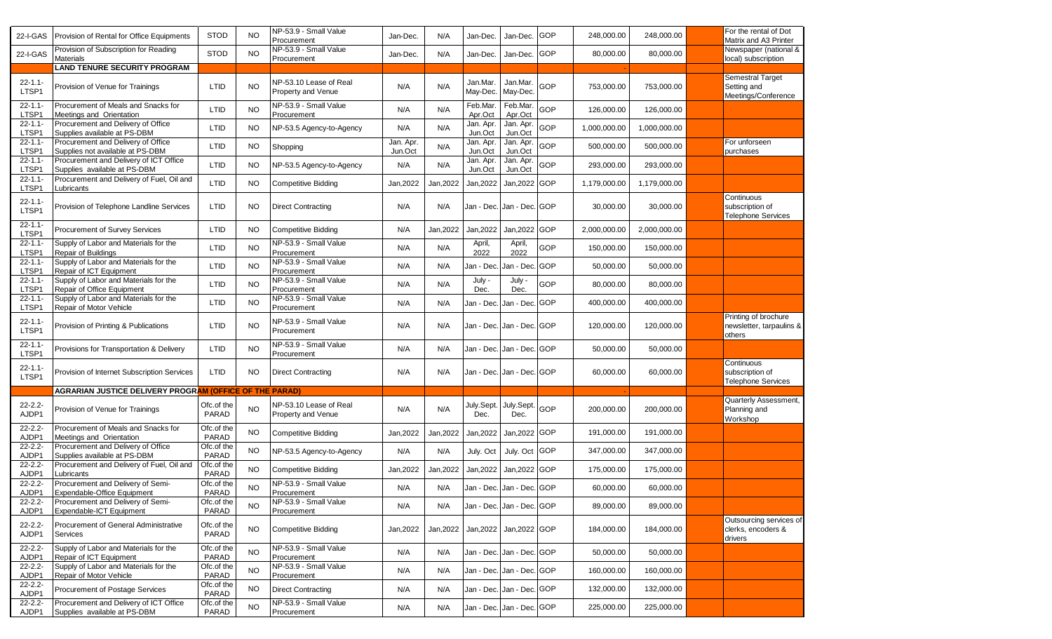| 22-I-GAS              | Provision of Rental for Office Equipments                              | <b>STOD</b>         | NO.       | NP-53.9 - Small Value<br>Procurement         | Jan-Dec.             | N/A       | Jan-Dec.             | Jan-Dec.                  | GOP        | 248,000.00   | 248,000.00   | For the rental of Dot<br>Matrix and A3 Printer             |
|-----------------------|------------------------------------------------------------------------|---------------------|-----------|----------------------------------------------|----------------------|-----------|----------------------|---------------------------|------------|--------------|--------------|------------------------------------------------------------|
| 22-I-GAS              | Provision of Subscription for Reading<br><b>Materials</b>              | <b>STOD</b>         | <b>NO</b> | NP-53.9 - Small Value<br>Procurement         | Jan-Dec.             | N/A       | Jan-Dec.             | Jan-Dec.                  | GOP        | 80,000.00    | 80.000.00    | Newspaper (national &<br>local) subscription               |
|                       | <b>LAND TENURE SECURITY PROGRAM</b>                                    |                     |           |                                              |                      |           |                      |                           |            |              |              |                                                            |
| $22 - 1.1 -$<br>LTSP1 | Provision of Venue for Trainings                                       | LTID                | <b>NO</b> | NP-53.10 Lease of Real<br>Property and Venue | N/A                  | N/A       | Jan.Mar.<br>May-Dec. | Jan.Mar.<br>May-Dec.      | <b>GOP</b> | 753,000.00   | 753,000.00   | Semestral Target<br>Setting and<br>Meetings/Conference     |
| $22 - 1.1 -$<br>LTSP1 | Procurement of Meals and Snacks for<br>Meetings and Orientation        | LTID                | <b>NO</b> | NP-53.9 - Small Value<br>Procurement         | N/A                  | N/A       | Feb.Mar.<br>Apr.Oct  | Feb.Mar.<br>Apr.Oct       | GOP        | 126,000.00   | 126,000.00   |                                                            |
| $22 - 1.1 -$<br>LTSP1 | Procurement and Delivery of Office<br>Supplies available at PS-DBM     | LTID                | NO.       | NP-53.5 Agency-to-Agency                     | N/A                  | N/A       | Jan. Apr.<br>Jun.Oct | Jan. Apr.<br>Jun.Oct      | GOP        | 1,000,000.00 | 1,000,000.00 |                                                            |
| $22 - 1.1 -$<br>LTSP1 | Procurement and Delivery of Office<br>Supplies not available at PS-DBM | LTID                | <b>NO</b> | Shopping                                     | Jan. Apr.<br>Jun.Oct | N/A       | Jan. Apr.<br>Jun.Oct | Jan. Apr.<br>Jun.Oct      | GOP        | 500,000.00   | 500,000.00   | For unforseen<br>purchases                                 |
| $22 - 1.1 -$<br>LTSP1 | Procurement and Delivery of ICT Office<br>Supplies available at PS-DBM | LTID                | <b>NO</b> | NP-53.5 Agency-to-Agency                     | N/A                  | N/A       | Jan. Apr.<br>Jun.Oct | Jan. Apr.<br>Jun.Oct      | GOP        | 293,000.00   | 293,000.00   |                                                            |
| $22 - 1.1 -$<br>LTSP1 | Procurement and Delivery of Fuel, Oil and<br>ubricants                 | LTID                | NO        | <b>Competitive Bidding</b>                   | Jan, 2022            | Jan, 2022 | Jan, 2022            | Jan, 2022 GOP             |            | 1,179,000.00 | 1,179,000.00 |                                                            |
| $22 - 1.1 -$<br>LTSP1 | Provision of Telephone Landline Services                               | LTID                | NO.       | <b>Direct Contracting</b>                    | N/A                  | N/A       |                      | Jan - Dec. Jan - Dec. GOP |            | 30,000.00    | 30,000.00    | Continuous<br>subscription of<br><b>Telephone Services</b> |
| $22 - 1.1 -$<br>LTSP1 | Procurement of Survey Services                                         | LTID                | NO.       | <b>Competitive Bidding</b>                   | N/A                  | Jan, 2022 | Jan, 2022            | Jan, 2022 GOP             |            | 2,000,000.00 | 2,000,000.00 |                                                            |
| $22 - 1.1 -$<br>LTSP1 | Supply of Labor and Materials for the<br>Repair of Buildings           | LTID                | <b>NO</b> | NP-53.9 - Small Value<br>Procurement         | N/A                  | N/A       | April,<br>2022       | April,<br>2022            | GOP        | 150,000.00   | 150,000.00   |                                                            |
| $22 - 1.1 -$<br>LTSP1 | Supply of Labor and Materials for the<br>Repair of ICT Equipment       | LTID                | NO        | NP-53.9 - Small Value<br>Procurement         | N/A                  | N/A       | Jan - Dec.           | Jan - Dec.                | GOP        | 50,000.00    | 50,000.00    |                                                            |
| $22 - 1.1 -$<br>LTSP1 | Supply of Labor and Materials for the<br>Repair of Office Equipment    | LTID                | <b>NO</b> | NP-53.9 - Small Value<br>Procurement         | N/A                  | N/A       | July -<br>Dec.       | July -<br>Dec.            | GOP        | 80,000.00    | 80,000.00    |                                                            |
| $22 - 1.1 -$<br>LTSP1 | Supply of Labor and Materials for the<br>Repair of Motor Vehicle       | LTID                | <b>NO</b> | NP-53.9 - Small Value<br>Procurement         | N/A                  | N/A       | Jan - Dec.           | Jan - Dec. GOP            |            | 400,000.00   | 400,000.00   |                                                            |
| $22 - 1.1 -$<br>LTSP1 | Provision of Printing & Publications                                   | LTID                | <b>NO</b> | NP-53.9 - Small Value<br>Procurement         | N/A                  | N/A       |                      | Jan - Dec. Jan - Dec. GOP |            | 120,000.00   | 120,000.00   | Printing of brochure<br>newsletter, tarpaulins &<br>others |
| $22 - 1.1 -$<br>LTSP1 | Provisions for Transportation & Delivery                               | LTID                | <b>NO</b> | NP-53.9 - Small Value<br>Procurement         | N/A                  | N/A       |                      | Jan - Dec. Jan - Dec. GOP |            | 50,000.00    | 50,000.00    |                                                            |
| $22 - 1.1 -$<br>LTSP1 | Provision of Internet Subscription Services                            | <b>LTID</b>         | NO.       | <b>Direct Contracting</b>                    | N/A                  | N/A       |                      | Jan - Dec. Jan - Dec. GOP |            | 60,000.00    | 60,000.00    | Continuous<br>subscription of<br><b>Telephone Services</b> |
|                       | <b>AGRARIAN JUSTICE DELIVERY PROGRAM (OFFICE OF THE PARAD)</b>         |                     |           |                                              |                      |           |                      |                           |            |              |              |                                                            |
| $22 - 2.2 -$<br>AJDP1 | Provision of Venue for Trainings                                       | Ofc.of the<br>PARAD | <b>NO</b> | NP-53.10 Lease of Real<br>Property and Venue | N/A                  | N/A       | July.Sept.<br>Dec.   | July Sept.<br>Dec.        | GOP        | 200,000.00   | 200,000.00   | Quarterly Assessment,<br>Planning and<br>Workshop          |
| $22 - 2.2 -$<br>AJDP1 | Procurement of Meals and Snacks for<br>Meetings and Orientation        | Ofc.of the<br>PARAD | NO        | <b>Competitive Bidding</b>                   | Jan, 2022            | Jan, 2022 | Jan, 2022            | Jan, 2022 GOP             |            | 191,000.00   | 191,000.00   |                                                            |
| $22 - 2.2 -$<br>AJDP1 | Procurement and Delivery of Office<br>Supplies available at PS-DBM     | Ofc.of the<br>PARAD | NO        | NP-53.5 Agency-to-Agency                     | N/A                  | N/A       | July. Oct            | July. Oct GOP             |            | 347,000.00   | 347,000.00   |                                                            |
| $22 - 2.2 -$<br>AJDP1 | Procurement and Delivery of Fuel, Oil and<br>ubricants                 | Ofc.of the<br>PARAD | NO        | Competitive Bidding                          | Jan, 2022            | Jan, 2022 | Jan, 2022            | Jan, 2022 GOP             |            | 175,000.00   | 175,000.00   |                                                            |
| $22 - 2.2 -$<br>AJDP1 | Procurement and Delivery of Semi-<br>Expendable-Office Equipment       | Ofc.of the<br>PARAD | <b>NO</b> | NP-53.9 - Small Value<br>Procurement         | N/A                  | N/A       |                      | Jan - Dec. Jan - Dec. GOP |            | 60,000.00    | 60,000.00    |                                                            |
| $22 - 2.2$<br>AJDP1   | Procurement and Delivery of Semi-<br>Expendable-ICT Equipment          | Ofc.of the<br>PARAD | <b>NO</b> | NP-53.9 - Small Value<br>Procurement         | N/A                  | N/A       |                      | Jan - Dec. Jan - Dec. GOP |            | 89,000.00    | 89,000.00    |                                                            |
| $22 - 2.2 -$<br>AJDP1 | Procurement of General Administrative<br>Services                      | Ofc.of the<br>PARAD | <b>NO</b> | <b>Competitive Bidding</b>                   | Jan, 2022            | Jan, 2022 |                      | Jan, 2022 Jan, 2022 GOP   |            | 184,000.00   | 184,000.00   | Outsourcing services of<br>clerks, encoders &<br>drivers   |
| $22 - 2.2 -$<br>AJDP1 | Supply of Labor and Materials for the<br>Repair of ICT Equipment       | Ofc.of the<br>PARAD | NO        | NP-53.9 - Small Value<br>Procurement         | N/A                  | N/A       |                      | Jan - Dec. Jan - Dec. GOP |            | 50,000.00    | 50,000.00    |                                                            |
| $22 - 2.2 -$<br>AJDP1 | Supply of Labor and Materials for the<br>Repair of Motor Vehicle       | Ofc.of the<br>PARAD | <b>NO</b> | NP-53.9 - Small Value<br>Procurement         | N/A                  | N/A       |                      | Jan - Dec. Jan - Dec. GOP |            | 160,000.00   | 160,000.00   |                                                            |
| $22 - 2.2$<br>AJDP1   | Procurement of Postage Services                                        | Ofc.of the<br>PARAD | <b>NO</b> | <b>Direct Contracting</b>                    | N/A                  | N/A       |                      | Jan - Dec. Jan - Dec. GOP |            | 132,000.00   | 132,000.00   |                                                            |
| $22 - 2.2 -$<br>AJDP1 | Procurement and Delivery of ICT Office<br>Supplies available at PS-DBM | Ofc.of the<br>PARAD | <b>NO</b> | NP-53.9 - Small Value<br>Procurement         | N/A                  | N/A       |                      | Jan - Dec. Jan - Dec. GOP |            | 225,000.00   | 225,000.00   |                                                            |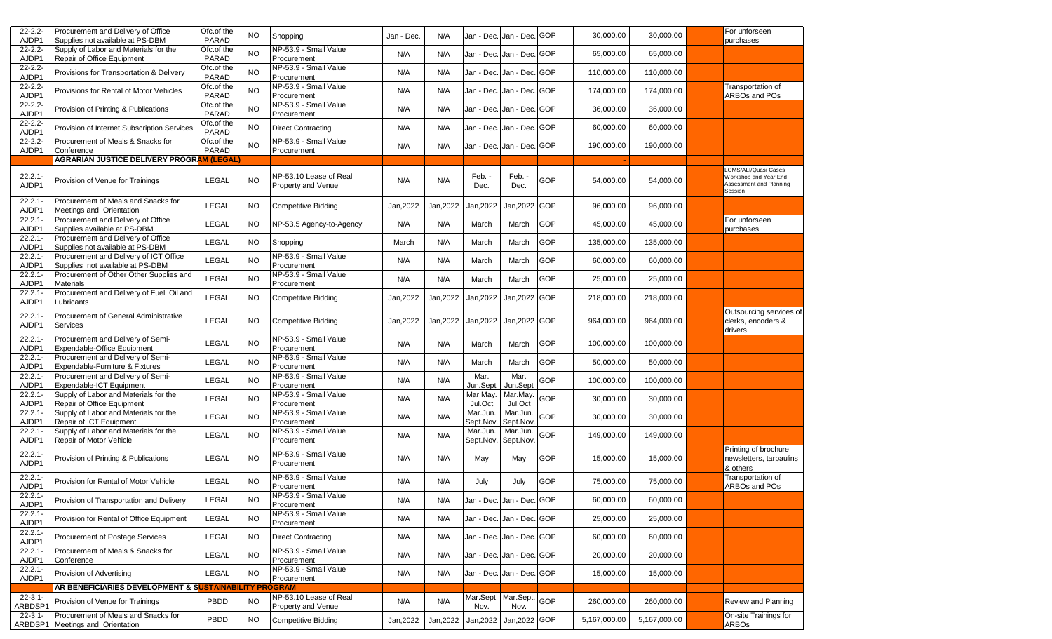| $22 - 2.2$<br>AJDP1     | Procurement and Delivery of Office<br>Supplies not available at PS-DBM     | Ofc.of the<br>PARAD | NO        | Shopping                                            | Jan - Dec. | N/A       |                       | Jan - Dec. Jan - Dec. GOP |            | 30,000.00    | 30,000.00    | For unforseen<br>purchases                                                          |
|-------------------------|----------------------------------------------------------------------------|---------------------|-----------|-----------------------------------------------------|------------|-----------|-----------------------|---------------------------|------------|--------------|--------------|-------------------------------------------------------------------------------------|
| $22 - 2.2$<br>AJDP1     | Supply of Labor and Materials for the<br>Repair of Office Equipment        | Ofc.of the<br>PARAD | NO.       | NP-53.9 - Small Value<br>Procurement                | N/A        | N/A       |                       | Jan - Dec. Jan - Dec. GOP |            | 65,000.00    | 65,000.00    |                                                                                     |
| $22 - 2.2$<br>AJDP1     | Provisions for Transportation & Delivery                                   | Ofc.of the<br>PARAD | <b>NO</b> | NP-53.9 - Small Value<br>Procurement                | N/A        | N/A       | Jan - Dec.            | Jan - Dec. GOP            |            | 110,000.00   | 110,000.00   |                                                                                     |
| $22 - 2.2$<br>AJDP1     | Provisions for Rental of Motor Vehicles                                    | Ofc.of the<br>PARAD | <b>NO</b> | NP-53.9 - Small Value<br>Procurement                | N/A        | N/A       | Jan - Dec.            | Jan - Dec.                | <b>GOP</b> | 174,000.00   | 174,000.00   | Transportation of<br>ARBOs and POs                                                  |
| $22 - 2.2$<br>AJDP1     | Provision of Printing & Publications                                       | Ofc.of the<br>PARAD | <b>NO</b> | NP-53.9 - Small Value<br>Procurement                | N/A        | N/A       | Jan - Dec.            | Jan - Dec. GOP            |            | 36,000.00    | 36,000.00    |                                                                                     |
| $22 - 2.2 -$<br>AJDP1   | Provision of Internet Subscription Services                                | Ofc.of the<br>PARAD | <b>NO</b> | <b>Direct Contracting</b>                           | N/A        | N/A       |                       | Jan - Dec. Jan - Dec. GOP |            | 60,000.00    | 60,000.00    |                                                                                     |
| $22 - 2.2 -$<br>AJDP1   | Procurement of Meals & Snacks for<br>Conference                            | Ofc.of the<br>PARAD | <b>NO</b> | NP-53.9 - Small Value<br>Procurement                | N/A        | N/A       |                       | Jan - Dec. Jan - Dec. GOP |            | 190,000.00   | 190,000.00   |                                                                                     |
|                         | <b>AGRARIAN JUSTICE DELIVERY PROGRAM (LEGAL</b>                            |                     |           |                                                     |            |           |                       |                           |            |              |              |                                                                                     |
| $22.2.1 -$<br>AJDP1     | Provision of Venue for Trainings                                           | <b>LEGAL</b>        | <b>NO</b> | NP-53.10 Lease of Real<br><b>Property and Venue</b> | N/A        | N/A       | Feb. -<br>Dec.        | Feb. -<br>Dec.            | GOP        | 54,000.00    | 54,000.00    | LCMS/ALI/Quasi Cases<br>Workshop and Year End<br>Assessment and Planning<br>Session |
| $22.2.1 -$<br>AJDP1     | Procurement of Meals and Snacks for<br>Meetings and Orientation            | <b>LEGAL</b>        | NO.       | <b>Competitive Bidding</b>                          | Jan, 2022  | Jan, 2022 | Jan, 2022             | Jan, 2022                 | <b>GOP</b> | 96,000.00    | 96,000.00    |                                                                                     |
| $22.2.1 -$<br>AJDP1     | Procurement and Delivery of Office<br>Supplies available at PS-DBM         | <b>LEGAL</b>        | <b>NO</b> | NP-53.5 Agency-to-Agency                            | N/A        | N/A       | March                 | March                     | GOP        | 45,000.00    | 45,000.00    | For unforseen<br>purchases                                                          |
| $22.2.1 -$<br>AJDP1     | Procurement and Delivery of Office<br>Supplies not available at PS-DBM     | LEGAL               | <b>NO</b> | Shopping                                            | March      | N/A       | March                 | March                     | GOP        | 135,000.00   | 135,000.00   |                                                                                     |
| $22.2.1 -$<br>AJDP1     | Procurement and Delivery of ICT Office<br>Supplies not available at PS-DBM | LEGAL               | <b>NO</b> | NP-53.9 - Small Value<br>Procurement                | N/A        | N/A       | March                 | March                     | GOP        | 60,000.00    | 60,000.00    |                                                                                     |
| $22.2.1 -$<br>AJDP1     | Procurement of Other Other Supplies and<br><b>Materials</b>                | <b>LEGAL</b>        | <b>NO</b> | NP-53.9 - Small Value<br>Procurement                | N/A        | N/A       | March                 | March                     | GOP        | 25,000.00    | 25,000.00    |                                                                                     |
| $22.2.1 -$<br>AJDP1     | Procurement and Delivery of Fuel, Oil and<br>Lubricants                    | <b>LEGAL</b>        | <b>NO</b> | <b>Competitive Bidding</b>                          | Jan, 2022  | Jan, 2022 | Jan, 2022             | Jan, 2022                 | GOP        | 218,000.00   | 218,000.00   |                                                                                     |
| $22.2.1 -$<br>AJDP1     | Procurement of General Administrative<br>Services                          | LEGAL               | NO.       | Competitive Bidding                                 | Jan, 2022  | Jan, 2022 | Jan, 2022             | Jan, 2022 GOP             |            | 964,000.00   | 964,000.00   | Outsourcing services of<br>clerks, encoders &<br>drivers                            |
| $22.2.1 -$<br>AJDP1     | Procurement and Delivery of Semi-<br>Expendable-Office Equipment           | <b>LEGAL</b>        | <b>NO</b> | NP-53.9 - Small Value<br>Procurement                | N/A        | N/A       | March                 | March                     | GOP        | 100,000.00   | 100,000.00   |                                                                                     |
| $22.2.1 -$<br>AJDP1     | Procurement and Delivery of Semi-<br>Expendable-Furniture & Fixtures       | <b>LEGAL</b>        | <b>NO</b> | NP-53.9 - Small Value<br>Procurement                | N/A        | N/A       | March                 | March                     | <b>GOP</b> | 50,000.00    | 50,000.00    |                                                                                     |
| $22.2.1 -$<br>AJDP1     | Procurement and Delivery of Semi-<br>Expendable-ICT Equipment              | LEGAL               | <b>NO</b> | NP-53.9 - Small Value<br>Procurement                | N/A        | N/A       | Mar.<br>Jun.Sept      | Mar.<br>Jun.Sept          | GOP        | 100,000.00   | 100,000.00   |                                                                                     |
| $22.2.1 -$<br>AJDP1     | Supply of Labor and Materials for the<br>Repair of Office Equipment        | <b>LEGAL</b>        | <b>NO</b> | NP-53.9 - Small Value<br>Procurement                | N/A        | N/A       | Mar.May.<br>Jul.Oct   | Mar.May<br>Jul.Oct        | GOP        | 30,000.00    | 30,000.00    |                                                                                     |
| $22.2.1 -$<br>AJDP1     | Supply of Labor and Materials for the<br>Repair of ICT Equipment           | LEGAL               | NO        | NP-53.9 - Small Value<br>Procurement                | N/A        | N/A       | Mar.Jun.<br>Sept.Nov. | Mar.Jun.<br>Sept.Nov.     | GOP        | 30,000.00    | 30,000.00    |                                                                                     |
| $22.2.1 -$<br>AJDP1     | Supply of Labor and Materials for the<br>Repair of Motor Vehicle           | <b>LEGAL</b>        | <b>NO</b> | NP-53.9 - Small Value<br>Procurement                | N/A        | N/A       | Mar.Jun.<br>Sept.Nov. | Mar.Jun.<br>Sept.Nov.     | GOP        | 149,000.00   | 149,000.00   |                                                                                     |
| $22.2.1 -$<br>AJDP1     | Provision of Printing & Publications                                       | LEGAL               | <b>NO</b> | NP-53.9 - Small Value<br>Procurement                | N/A        | N/A       | May                   | May                       | GOP        | 15,000.00    | 15,000.00    | Printing of brochure<br>newsletters, tarpaulins<br>& others                         |
| $22.2.1 -$<br>AJDP1     | Provision for Rental of Motor Vehicle                                      | <b>LEGAL</b>        | <b>NO</b> | NP-53.9 - Small Value<br>Procurement                | N/A        | N/A       | July                  | July                      | GOP        | 75,000.00    | 75,000.00    | Transportation of<br>ARBOs and POs                                                  |
| $22.2.1 -$<br>AJDP1     | Provision of Transportation and Delivery                                   | LEGAL               | <b>NO</b> | NP-53.9 - Small Value<br>Procurement                | N/A        | N/A       |                       | Jan - Dec. Jan - Dec. GOP |            | 60,000.00    | 60,000.00    |                                                                                     |
| $22.2.1 -$<br>AJDP1     | Provision for Rental of Office Equipment                                   | LEGAL               | <b>NO</b> | NP-53.9 - Small Value<br>Procurement                | N/A        | N/A       |                       | Jan - Dec. Jan - Dec. GOP |            | 25,000.00    | 25,000.00    |                                                                                     |
| $22.2.1 -$<br>AJDP1     | <b>Procurement of Postage Services</b>                                     | LEGAL               | NO.       | <b>Direct Contracting</b>                           | N/A        | N/A       |                       | Jan - Dec. Jan - Dec. GOP |            | 60,000.00    | 60,000.00    |                                                                                     |
| $22.2.1 -$<br>AJDP1     | Procurement of Meals & Snacks for<br>Conference                            | LEGAL               | NO        | NP-53.9 - Small Value<br>Procurement                | N/A        | N/A       |                       | Jan - Dec. Jan - Dec. GOP |            | 20,000.00    | 20,000.00    |                                                                                     |
| $22.2.1 -$<br>AJDP1     | Provision of Advertising                                                   | LEGAL               | <b>NO</b> | NP-53.9 - Small Value<br>Procurement                | N/A        | N/A       |                       | Jan - Dec. Jan - Dec. GOP |            | 15,000.00    | 15,000.00    |                                                                                     |
|                         | AR BENEFICIARIES DEVELOPMENT & SUSTAINABILITY PROGRAM                      |                     |           |                                                     |            |           |                       |                           |            |              |              |                                                                                     |
| $22 - 3.1 -$<br>ARBDSP1 | Provision of Venue for Trainings                                           | PBDD                | <b>NO</b> | NP-53.10 Lease of Real<br>Property and Venue        | N/A        | N/A       | Mar.Sept.<br>Nov.     | Mar.Sept.<br>Nov.         | GOP        | 260,000.00   | 260,000.00   | Review and Planning                                                                 |
| $22 - 3.1 -$            | Procurement of Meals and Snacks for<br>ARBDSP1 Meetings and Orientation    | PBDD                | NO.       | <b>Competitive Bidding</b>                          | Jan, 2022  | Jan, 2022 | Jan, 2022             | Jan, 2022 GOP             |            | 5,167,000.00 | 5,167,000.00 | On-site Trainings for<br>ARBOs                                                      |